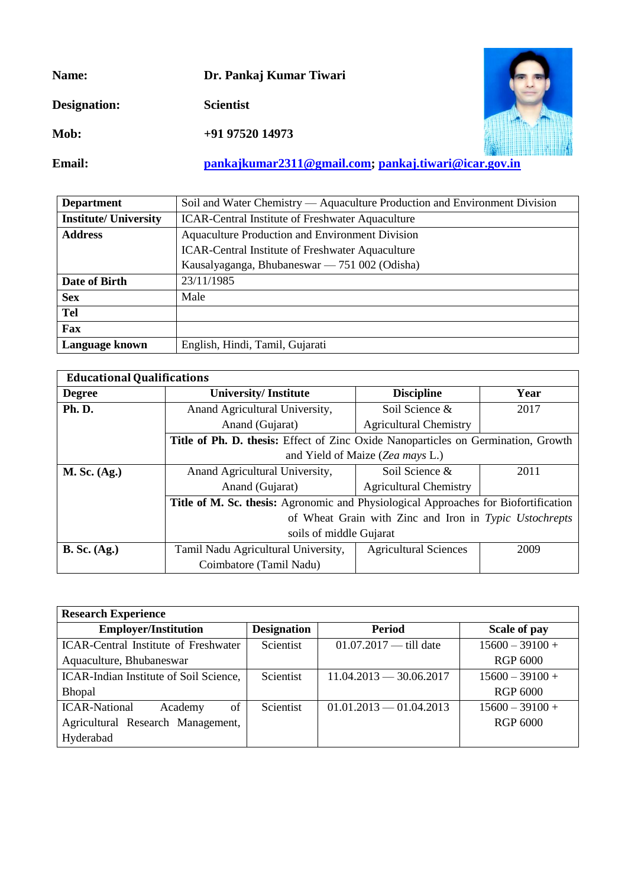**Name: Dr. Pankaj Kumar Tiwari**

**Designation: Scientist** 

**Mob: +91 97520 14973**



**Email: [pankajkumar2311@gmail.com;](mailto:pankajkumar2311@gmail.com) [pankaj.tiwari@icar.gov.in](mailto:pankaj.tiwari@icar.gov.in)**

| <b>Department</b>            | Soil and Water Chemistry — Aquaculture Production and Environment Division |  |  |
|------------------------------|----------------------------------------------------------------------------|--|--|
| <b>Institute/ University</b> | <b>ICAR-Central Institute of Freshwater Aquaculture</b>                    |  |  |
| <b>Address</b>               | Aquaculture Production and Environment Division                            |  |  |
|                              | <b>ICAR-Central Institute of Freshwater Aquaculture</b>                    |  |  |
|                              | Kausalyaganga, Bhubaneswar — 751 002 (Odisha)                              |  |  |
| Date of Birth                | 23/11/1985                                                                 |  |  |
| <b>Sex</b>                   | Male                                                                       |  |  |
| <b>Tel</b>                   |                                                                            |  |  |
| Fax                          |                                                                            |  |  |
| Language known               | English, Hindi, Tamil, Gujarati                                            |  |  |

| <b>Educational Qualifications</b> |                                                                                     |                               |      |  |
|-----------------------------------|-------------------------------------------------------------------------------------|-------------------------------|------|--|
| <b>Degree</b>                     | <b>University/Institute</b>                                                         | <b>Discipline</b>             | Year |  |
| Ph.D.                             | Anand Agricultural University,                                                      | Soil Science &                | 2017 |  |
|                                   | Anand (Gujarat)                                                                     | <b>Agricultural Chemistry</b> |      |  |
|                                   | Title of Ph. D. thesis: Effect of Zinc Oxide Nanoparticles on Germination, Growth   |                               |      |  |
|                                   | and Yield of Maize (Zea mays L.)                                                    |                               |      |  |
| $M.$ Sc. $(Ag.)$                  | Anand Agricultural University,                                                      | Soil Science &                | 2011 |  |
|                                   | Anand (Gujarat)                                                                     | <b>Agricultural Chemistry</b> |      |  |
|                                   | Title of M. Sc. thesis: Agronomic and Physiological Approaches for Biofortification |                               |      |  |
|                                   | of Wheat Grain with Zinc and Iron in Typic Ustochrepts                              |                               |      |  |
|                                   | soils of middle Gujarat                                                             |                               |      |  |
| $B.$ Sc. $(Ag.)$                  | Tamil Nadu Agricultural University,                                                 | <b>Agricultural Sciences</b>  | 2009 |  |
|                                   | Coimbatore (Tamil Nadu)                                                             |                               |      |  |

| <b>Research Experience</b>                  |                    |                           |                   |
|---------------------------------------------|--------------------|---------------------------|-------------------|
| <b>Employer/Institution</b>                 | <b>Designation</b> | Period                    | Scale of pay      |
| <b>ICAR-Central Institute of Freshwater</b> | Scientist          | $01.07.2017$ — till date  | $15600 - 39100 +$ |
| Aquaculture, Bhubaneswar                    |                    |                           | <b>RGP 6000</b>   |
| ICAR-Indian Institute of Soil Science,      | Scientist          | $11.04.2013 - 30.06.2017$ | $15600 - 39100 +$ |
| <b>Bhopal</b>                               |                    |                           | RGP 6000          |
| <b>ICAR-National</b><br>of<br>Academy       | <b>Scientist</b>   | $01.01.2013 - 01.04.2013$ | $15600 - 39100 +$ |
| Agricultural Research Management,           |                    |                           | RGP 6000          |
| Hyderabad                                   |                    |                           |                   |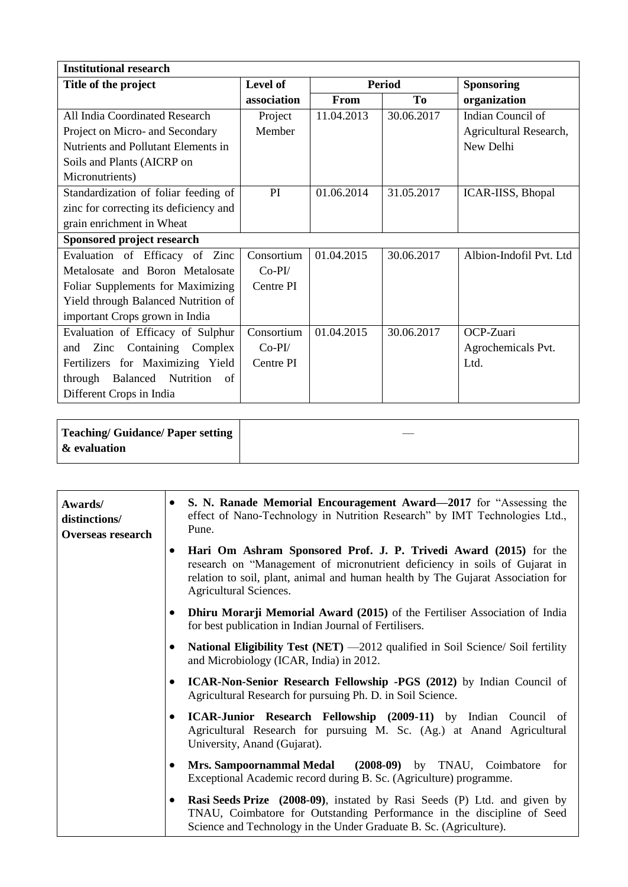| <b>Institutional research</b>            |             |               |                |                         |
|------------------------------------------|-------------|---------------|----------------|-------------------------|
| Title of the project                     | Level of    | <b>Period</b> |                | <b>Sponsoring</b>       |
|                                          | association | From          | T <sub>0</sub> | organization            |
| All India Coordinated Research           | Project     | 11.04.2013    | 30.06.2017     | Indian Council of       |
| Project on Micro- and Secondary          | Member      |               |                | Agricultural Research,  |
| Nutrients and Pollutant Elements in      |             |               |                | New Delhi               |
| Soils and Plants (AICRP on               |             |               |                |                         |
| Micronutrients)                          |             |               |                |                         |
| Standardization of foliar feeding of     | PI          | 01.06.2014    | 31.05.2017     | ICAR-IISS, Bhopal       |
| zinc for correcting its deficiency and   |             |               |                |                         |
| grain enrichment in Wheat                |             |               |                |                         |
| Sponsored project research               |             |               |                |                         |
| Evaluation of Efficacy of Zinc           | Consortium  | 01.04.2015    | 30.06.2017     | Albion-Indofil Pvt. Ltd |
| Metalosate and Boron Metalosate          | $Co-PI/$    |               |                |                         |
| Foliar Supplements for Maximizing        | Centre PI   |               |                |                         |
| Yield through Balanced Nutrition of      |             |               |                |                         |
| important Crops grown in India           |             |               |                |                         |
| Evaluation of Efficacy of Sulphur        | Consortium  | 01.04.2015    | 30.06.2017     | OCP-Zuari               |
| Containing Complex<br>Zinc<br>and        | $Co-PI/$    |               |                | Agrochemicals Pvt.      |
| Fertilizers for Maximizing Yield         | Centre PI   |               |                | Ltd.                    |
| Nutrition<br>Balanced<br>through<br>- of |             |               |                |                         |
| Different Crops in India                 |             |               |                |                         |

| Teaching/ Guidance/ Paper setting |  |
|-----------------------------------|--|
| $\mathbf k$ evaluation            |  |

| Awards/<br>distinctions/<br><b>Overseas research</b> |           | S. N. Ranade Memorial Encouragement Award-2017 for "Assessing the<br>effect of Nano-Technology in Nutrition Research" by IMT Technologies Ltd.,<br>Pune.                                                                                                     |
|------------------------------------------------------|-----------|--------------------------------------------------------------------------------------------------------------------------------------------------------------------------------------------------------------------------------------------------------------|
|                                                      | $\bullet$ | Hari Om Ashram Sponsored Prof. J. P. Trivedi Award (2015) for the<br>research on "Management of micronutrient deficiency in soils of Gujarat in<br>relation to soil, plant, animal and human health by The Gujarat Association for<br>Agricultural Sciences. |
|                                                      |           | <b>Dhiru Morarji Memorial Award (2015)</b> of the Fertiliser Association of India<br>for best publication in Indian Journal of Fertilisers.                                                                                                                  |
|                                                      |           | National Eligibility Test (NET) -2012 qualified in Soil Science/ Soil fertility<br>and Microbiology (ICAR, India) in 2012.                                                                                                                                   |
|                                                      |           | ICAR-Non-Senior Research Fellowship -PGS (2012) by Indian Council of<br>Agricultural Research for pursuing Ph. D. in Soil Science.                                                                                                                           |
|                                                      | $\bullet$ | ICAR-Junior Research Fellowship (2009-11) by Indian Council of<br>Agricultural Research for pursuing M. Sc. (Ag.) at Anand Agricultural<br>University, Anand (Gujarat).                                                                                      |
|                                                      |           | Mrs. Sampoornammal Medal (2008-09) by TNAU, Coimbatore for<br>Exceptional Academic record during B. Sc. (Agriculture) programme.                                                                                                                             |
|                                                      |           | Rasi Seeds Prize (2008-09), instated by Rasi Seeds (P) Ltd. and given by<br>TNAU, Coimbatore for Outstanding Performance in the discipline of Seed<br>Science and Technology in the Under Graduate B. Sc. (Agriculture).                                     |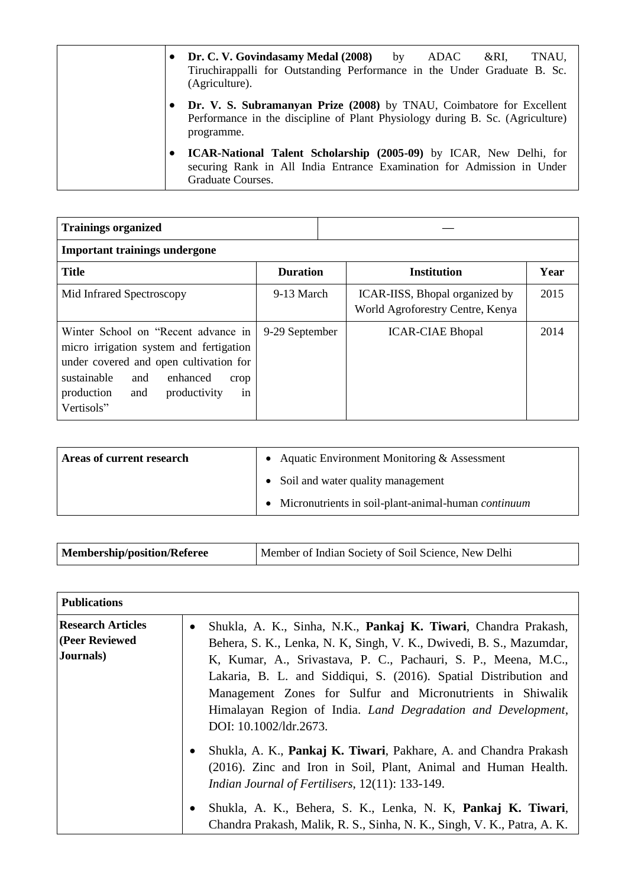|   | Dr. C. V. Govindasamy Medal (2008) by ADAC<br>TNAU,<br>&RI.<br>Tiruchirappalli for Outstanding Performance in the Under Graduate B. Sc.<br>(Agriculture).           |
|---|---------------------------------------------------------------------------------------------------------------------------------------------------------------------|
|   | Dr. V. S. Subramanyan Prize (2008) by TNAU, Coimbatore for Excellent<br>Performance in the discipline of Plant Physiology during B. Sc. (Agriculture)<br>programme. |
| ٠ | ICAR-National Talent Scholarship (2005-09) by ICAR, New Delhi, for<br>securing Rank in All India Entrance Examination for Admission in Under<br>Graduate Courses.   |

| <b>Trainings organized</b>                                                                                                                                                                                                  |                 |                                                                    |      |
|-----------------------------------------------------------------------------------------------------------------------------------------------------------------------------------------------------------------------------|-----------------|--------------------------------------------------------------------|------|
| <b>Important trainings undergone</b>                                                                                                                                                                                        |                 |                                                                    |      |
| <b>Title</b>                                                                                                                                                                                                                | <b>Duration</b> | <b>Institution</b>                                                 | Year |
| Mid Infrared Spectroscopy                                                                                                                                                                                                   | 9-13 March      | ICAR-IISS, Bhopal organized by<br>World Agroforestry Centre, Kenya | 2015 |
| Winter School on "Recent advance in<br>micro irrigation system and fertigation<br>under covered and open cultivation for<br>sustainable<br>and<br>enhanced<br>crop<br>production<br>productivity<br>and<br>1n<br>Vertisols" | 9-29 September  | <b>ICAR-CIAE Bhopal</b>                                            | 2014 |

| Areas of current research | • Aquatic Environment Monitoring $&$ Assessment       |
|---------------------------|-------------------------------------------------------|
|                           | • Soil and water quality management                   |
|                           | • Micronutrients in soil-plant-animal-human continuum |

| Membership/position/Referee | Member of Indian Society of Soil Science, New Delhi |
|-----------------------------|-----------------------------------------------------|
|-----------------------------|-----------------------------------------------------|

| <b>Publications</b>                                     |                                                                                                                                                                                                                                                                                                                                                                                                                                                   |
|---------------------------------------------------------|---------------------------------------------------------------------------------------------------------------------------------------------------------------------------------------------------------------------------------------------------------------------------------------------------------------------------------------------------------------------------------------------------------------------------------------------------|
| <b>Research Articles</b><br>(Peer Reviewed<br>Journals) | Shukla, A. K., Sinha, N.K., Pankaj K. Tiwari, Chandra Prakash,<br>$\bullet$<br>Behera, S. K., Lenka, N. K., Singh, V. K., Dwivedi, B. S., Mazumdar,<br>K, Kumar, A., Srivastava, P. C., Pachauri, S. P., Meena, M.C.,<br>Lakaria, B. L. and Siddiqui, S. (2016). Spatial Distribution and<br>Management Zones for Sulfur and Micronutrients in Shiwalik<br>Himalayan Region of India. Land Degradation and Development,<br>DOI: 10.1002/ldr.2673. |
|                                                         | Shukla, A. K., Pankaj K. Tiwari, Pakhare, A. and Chandra Prakash<br>$\bullet$<br>(2016). Zinc and Iron in Soil, Plant, Animal and Human Health.<br><i>Indian Journal of Fertilisers, 12(11): 133-149.</i><br>Shukla, A. K., Behera, S. K., Lenka, N. K., Pankaj K. Tiwari,<br>$\bullet$<br>Chandra Prakash, Malik, R. S., Sinha, N. K., Singh, V. K., Patra, A. K.                                                                                |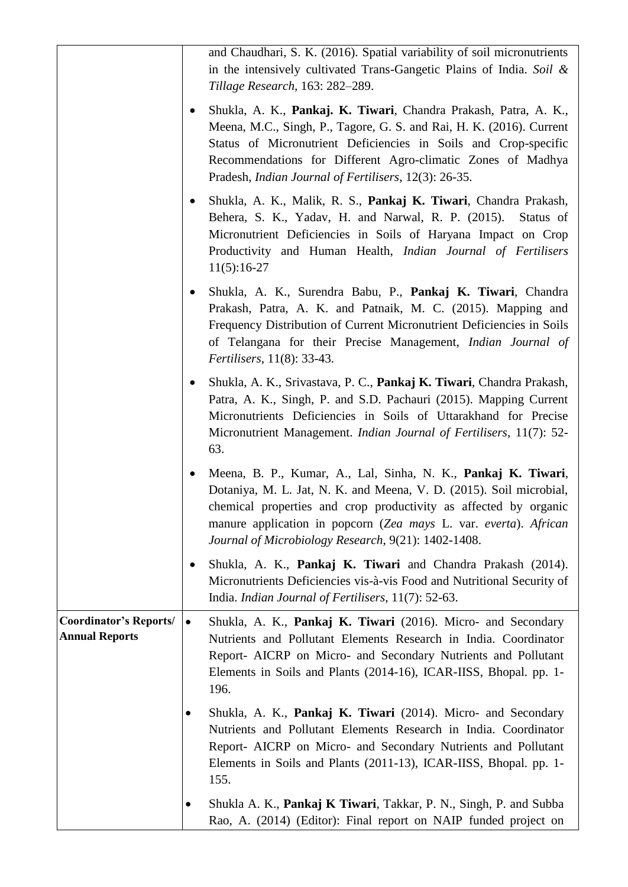|                                                        |           | and Chaudhari, S. K. (2016). Spatial variability of soil micronutrients<br>in the intensively cultivated Trans-Gangetic Plains of India. Soil &<br>Tillage Research, 163: 282–289.                                                                                                                                                          |
|--------------------------------------------------------|-----------|---------------------------------------------------------------------------------------------------------------------------------------------------------------------------------------------------------------------------------------------------------------------------------------------------------------------------------------------|
|                                                        |           | Shukla, A. K., Pankaj. K. Tiwari, Chandra Prakash, Patra, A. K.,<br>Meena, M.C., Singh, P., Tagore, G. S. and Rai, H. K. (2016). Current<br>Status of Micronutrient Deficiencies in Soils and Crop-specific<br>Recommendations for Different Agro-climatic Zones of Madhya<br>Pradesh, <i>Indian Journal of Fertilisers</i> , 12(3): 26-35. |
|                                                        | $\bullet$ | Shukla, A. K., Malik, R. S., Pankaj K. Tiwari, Chandra Prakash,<br>Behera, S. K., Yadav, H. and Narwal, R. P. (2015).<br>Status of<br>Micronutrient Deficiencies in Soils of Haryana Impact on Crop<br>Productivity and Human Health, <i>Indian Journal of Fertilisers</i><br>$11(5):16-27$                                                 |
|                                                        |           | Shukla, A. K., Surendra Babu, P., Pankaj K. Tiwari, Chandra<br>Prakash, Patra, A. K. and Patnaik, M. C. (2015). Mapping and<br>Frequency Distribution of Current Micronutrient Deficiencies in Soils<br>of Telangana for their Precise Management, Indian Journal of<br><i>Fertilisers</i> , 11(8): 33-43.                                  |
|                                                        | $\bullet$ | Shukla, A. K., Srivastava, P. C., Pankaj K. Tiwari, Chandra Prakash,<br>Patra, A. K., Singh, P. and S.D. Pachauri (2015). Mapping Current<br>Micronutrients Deficiencies in Soils of Uttarakhand for Precise<br>Micronutrient Management. <i>Indian Journal of Fertilisers</i> , 11(7): 52-<br>63.                                          |
|                                                        |           | Meena, B. P., Kumar, A., Lal, Sinha, N. K., Pankaj K. Tiwari,<br>Dotaniya, M. L. Jat, N. K. and Meena, V. D. (2015). Soil microbial,<br>chemical properties and crop productivity as affected by organic<br>manure application in popcorn (Zea mays L. var. everta). African<br>Journal of Microbiology Research, 9(21): 1402-1408.         |
|                                                        | ٠         | Shukla, A. K., Pankaj K. Tiwari and Chandra Prakash (2014).<br>Micronutrients Deficiencies vis-à-vis Food and Nutritional Security of<br>India. <i>Indian Journal of Fertilisers</i> , 11(7): 52-63.                                                                                                                                        |
| <b>Coordinator's Reports/</b><br><b>Annual Reports</b> | $\bullet$ | Shukla, A. K., Pankaj K. Tiwari (2016). Micro- and Secondary<br>Nutrients and Pollutant Elements Research in India. Coordinator<br>Report- AICRP on Micro- and Secondary Nutrients and Pollutant<br>Elements in Soils and Plants (2014-16), ICAR-IISS, Bhopal. pp. 1-<br>196.                                                               |
|                                                        | ٠         | Shukla, A. K., Pankaj K. Tiwari (2014). Micro- and Secondary<br>Nutrients and Pollutant Elements Research in India. Coordinator<br>Report- AICRP on Micro- and Secondary Nutrients and Pollutant<br>Elements in Soils and Plants (2011-13), ICAR-IISS, Bhopal. pp. 1-<br>155.                                                               |
|                                                        | $\bullet$ | Shukla A. K., Pankaj K Tiwari, Takkar, P. N., Singh, P. and Subba<br>Rao, A. (2014) (Editor): Final report on NAIP funded project on                                                                                                                                                                                                        |